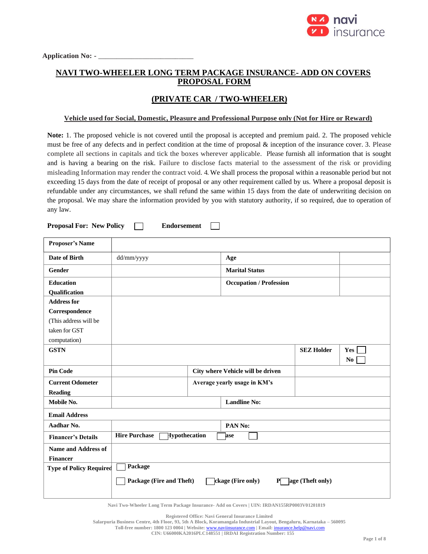

# **NAVI TWO-WHEELER LONG TERM PACKAGE INSURANCE- ADD ON COVERS PROPOSAL FORM**

## **(PRIVATE CAR / TWO-WHEELER)**

#### **Vehicle used for Social, Domestic, Pleasure and Professional Purpose only (Not for Hire or Reward)**

**Note:** 1. The proposed vehicle is not covered until the proposal is accepted and premium paid. 2. The proposed vehicle must be free of any defects and in perfect condition at the time of proposal & inception of the insurance cover. 3. Please complete all sections in capitals and tick the boxes wherever applicable. Please furnish all information that is sought and is having a bearing on the risk. Failure to disclose facts material to the assessment of the risk or providing misleading Information may render the contract void. 4. We shall process the proposal within a reasonable period but not exceeding 15 days from the date of receipt of proposal or any other requirement called by us. Where a proposal deposit is refundable under any circumstances, we shall refund the same within 15 days from the date of underwriting decision on the proposal. We may share the information provided by you with statutory authority, if so required, due to operation of any law.

**Proposal For: New Policy Endorsement**

| <b>Proposer's Name</b>         |                                              |                     |                                   |                   |                |  |  |
|--------------------------------|----------------------------------------------|---------------------|-----------------------------------|-------------------|----------------|--|--|
| Date of Birth                  | dd/mm/yyyy                                   |                     | Age                               |                   |                |  |  |
| Gender                         |                                              |                     | <b>Marital Status</b>             |                   |                |  |  |
| <b>Education</b>               |                                              |                     | <b>Occupation / Profession</b>    |                   |                |  |  |
| Qualification                  |                                              |                     |                                   |                   |                |  |  |
| <b>Address for</b>             |                                              |                     |                                   |                   |                |  |  |
| Correspondence                 |                                              |                     |                                   |                   |                |  |  |
| (This address will be          |                                              |                     |                                   |                   |                |  |  |
| taken for GST                  |                                              |                     |                                   |                   |                |  |  |
| computation)                   |                                              |                     |                                   |                   |                |  |  |
| <b>GSTN</b>                    |                                              |                     |                                   | <b>SEZ Holder</b> | Yes            |  |  |
|                                |                                              |                     |                                   |                   | N <sub>0</sub> |  |  |
| <b>Pin Code</b>                |                                              |                     | City where Vehicle will be driven |                   |                |  |  |
| <b>Current Odometer</b>        |                                              |                     |                                   |                   |                |  |  |
| <b>Reading</b>                 |                                              |                     |                                   |                   |                |  |  |
| Mobile No.                     |                                              | <b>Landline No:</b> |                                   |                   |                |  |  |
| <b>Email Address</b>           |                                              |                     |                                   |                   |                |  |  |
| Aadhar No.                     |                                              |                     | PAN No:                           |                   |                |  |  |
| <b>Financer's Details</b>      | <b>Hire Purchase</b><br>Hypothecation<br>ase |                     |                                   |                   |                |  |  |
| <b>Name and Address of</b>     |                                              |                     |                                   |                   |                |  |  |
| <b>Financer</b>                |                                              |                     |                                   |                   |                |  |  |
| <b>Type of Policy Required</b> | Package                                      |                     |                                   |                   |                |  |  |
|                                | Package (Fire and Theft)                     |                     | ckage (Fire only)<br>Р            | age (Theft only)  |                |  |  |

**Navi Two-Wheeler Long Term Package Insurance- Add on Covers | UIN: IRDAN155RP0003V01201819**

**Registered Office: Navi General Insurance Limited**

**Salarpuria Business Centre, 4th Floor, 93, 5th A Block, Koramangala Industrial Layout, Bengaluru, Karnataka – 560095**

**Toll-free number: 1800 123 0004 | Website:** [www.naviinsurance.com](http://www.naviinsurance.com/) **| Email:** [insurance.help@navi.com](mailto:insurance.help@navi.com)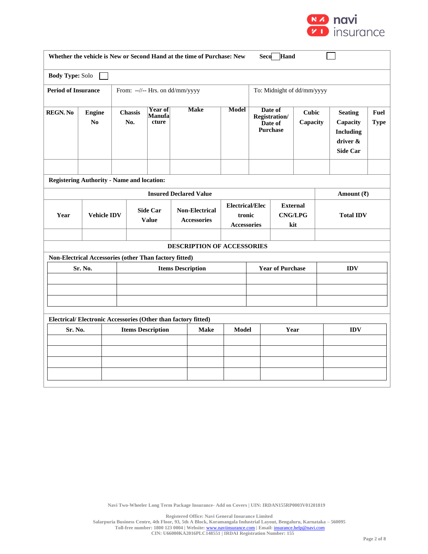

|                                                                                             | Hand<br>Whether the vehicle is New or Second Hand at the time of Purchase: New<br><b>Seco</b> |                       |                                         |                                   |  |                                             |                                                        |                                                                             |                         |                                                                               |                        |  |
|---------------------------------------------------------------------------------------------|-----------------------------------------------------------------------------------------------|-----------------------|-----------------------------------------|-----------------------------------|--|---------------------------------------------|--------------------------------------------------------|-----------------------------------------------------------------------------|-------------------------|-------------------------------------------------------------------------------|------------------------|--|
| <b>Body Type: Solo</b>                                                                      |                                                                                               |                       |                                         |                                   |  |                                             |                                                        |                                                                             |                         |                                                                               |                        |  |
| <b>Period of Insurance</b><br>To: Midnight of dd/mm/yyyy<br>From: --//-- Hrs. on dd/mm/yyyy |                                                                                               |                       |                                         |                                   |  |                                             |                                                        |                                                                             |                         |                                                                               |                        |  |
| <b>REGN. No</b>                                                                             | <b>Engine</b><br>No                                                                           | <b>Chassis</b><br>No. |                                         | <b>Year of</b><br>Manufa<br>cture |  | <b>Make</b>                                 | <b>Model</b>                                           | Date of<br>Cubic<br>Registration/<br>Capacity<br>Date of<br><b>Purchase</b> |                         | <b>Seating</b><br>Capacity<br><b>Including</b><br>driver &<br><b>Side Car</b> | Fuel<br><b>Type</b>    |  |
|                                                                                             |                                                                                               |                       |                                         |                                   |  |                                             |                                                        |                                                                             |                         |                                                                               |                        |  |
|                                                                                             | <b>Registering Authority - Name and location:</b>                                             |                       |                                         |                                   |  |                                             |                                                        |                                                                             |                         |                                                                               |                        |  |
|                                                                                             |                                                                                               |                       |                                         |                                   |  | <b>Insured Declared Value</b>               |                                                        |                                                                             |                         |                                                                               | Amount $(\bar{\zeta})$ |  |
| Year                                                                                        | <b>Vehicle IDV</b>                                                                            |                       |                                         | <b>Side Car</b><br><b>Value</b>   |  | <b>Non-Electrical</b><br><b>Accessories</b> | <b>Electrical/Elec</b><br>tronic<br><b>Accessories</b> | <b>External</b><br><b>CNG/LPG</b><br>kit                                    |                         | <b>Total IDV</b>                                                              |                        |  |
|                                                                                             |                                                                                               |                       |                                         |                                   |  |                                             |                                                        |                                                                             |                         |                                                                               |                        |  |
|                                                                                             |                                                                                               |                       |                                         |                                   |  | DESCRIPTION OF ACCESSORIES                  |                                                        |                                                                             |                         |                                                                               |                        |  |
|                                                                                             | Non-Electrical Accessories (other Than factory fitted)                                        |                       |                                         |                                   |  |                                             |                                                        |                                                                             |                         |                                                                               |                        |  |
|                                                                                             | Sr. No.                                                                                       |                       |                                         |                                   |  | <b>Items Description</b>                    |                                                        |                                                                             | <b>Year of Purchase</b> |                                                                               | <b>IDV</b>             |  |
|                                                                                             |                                                                                               |                       |                                         |                                   |  |                                             |                                                        |                                                                             |                         |                                                                               |                        |  |
|                                                                                             |                                                                                               |                       |                                         |                                   |  |                                             |                                                        |                                                                             |                         |                                                                               |                        |  |
|                                                                                             |                                                                                               |                       |                                         |                                   |  |                                             |                                                        |                                                                             |                         |                                                                               |                        |  |
| Electrical/Electronic Accessories (Other than factory fitted)                               |                                                                                               |                       |                                         |                                   |  |                                             |                                                        |                                                                             |                         |                                                                               |                        |  |
| Sr. No.                                                                                     |                                                                                               |                       | <b>Items Description</b><br><b>Make</b> |                                   |  | <b>Model</b>                                | Year                                                   |                                                                             |                         | <b>IDV</b>                                                                    |                        |  |
|                                                                                             |                                                                                               |                       |                                         |                                   |  |                                             |                                                        |                                                                             |                         |                                                                               |                        |  |
|                                                                                             |                                                                                               |                       |                                         |                                   |  |                                             |                                                        |                                                                             |                         |                                                                               |                        |  |
|                                                                                             |                                                                                               |                       |                                         |                                   |  |                                             |                                                        |                                                                             |                         |                                                                               |                        |  |
|                                                                                             |                                                                                               |                       |                                         |                                   |  |                                             |                                                        |                                                                             |                         |                                                                               |                        |  |

**Navi Two-Wheeler Long Term Package Insurance- Add on Covers | UIN: IRDAN155RP0003V01201819**

**Registered Office: Navi General Insurance Limited Salarpuria Business Centre, 4th Floor, 93, 5th A Block, Koramangala Industrial Layout, Bengaluru, Karnataka – 560095 Toll-free number: 1800 123 0004 | Website:** [www.naviinsurance.com](http://www.naviinsurance.com/) **| Email:** [insurance.help@navi.com](mailto:insurance.help@navi.com) **CIN: U66000KA2016PLC148551 | IRDAI Registration Number: 155**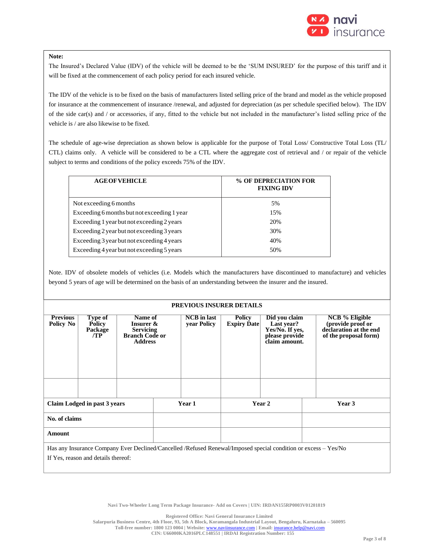

#### **Note:**

The Insured's Declared Value (IDV) of the vehicle will be deemed to be the 'SUM INSURED' for the purpose of this tariff and it will be fixed at the commencement of each policy period for each insured vehicle.

The IDV of the vehicle is to be fixed on the basis of manufacturers listed selling price of the brand and model as the vehicle proposed for insurance at the commencement of insurance /renewal, and adjusted for depreciation (as per schedule specified below). The IDV of the side car(s) and / or accessories, if any, fitted to the vehicle but not included in the manufacturer's listed selling price of the vehicle is / are also likewise to be fixed.

The schedule of age-wise depreciation as shown below is applicable for the purpose of Total Loss/ Constructive Total Loss (TL/ CTL) claims only. A vehicle will be considered to be a CTL where the aggregate cost of retrieval and / or repair of the vehicle subject to terms and conditions of the policy exceeds 75% of the IDV.

| % OF DEPRECIATION FOR<br><b>FIXING IDV</b> |
|--------------------------------------------|
| .5%                                        |
| 15%                                        |
| 20%                                        |
| 30%                                        |
| 40%                                        |
| 50%                                        |
|                                            |

Note. IDV of obsolete models of vehicles (i.e. Models which the manufacturers have discontinued to manufacture) and vehicles beyond 5 years of age will be determined on the basis of an understanding between the insurer and the insured.

#### **PREVIOUS INSURER DETAILS**

| <b>Previous</b>                                                                                                 | Type of        |                                           | <b>NCB</b> in last<br>Name of |             | <b>Policy</b>      | Did you claim                     |  | <b>NCB</b> % Eligible                           |
|-----------------------------------------------------------------------------------------------------------------|----------------|-------------------------------------------|-------------------------------|-------------|--------------------|-----------------------------------|--|-------------------------------------------------|
| Policy No                                                                                                       | <b>Policy</b>  | <b>Insurer &amp;</b>                      |                               | year Policy | <b>Expiry Date</b> | Last year?                        |  | (provide proof or                               |
|                                                                                                                 | Package<br>/TP | <b>Servicing</b><br><b>Branch Code or</b> |                               |             |                    | Yes/No. If yes,<br>please provide |  | declaration at the end<br>of the proposal form) |
|                                                                                                                 |                | <b>Address</b>                            |                               |             |                    | claim amount.                     |  |                                                 |
|                                                                                                                 |                |                                           |                               |             |                    |                                   |  |                                                 |
|                                                                                                                 |                |                                           |                               |             |                    |                                   |  |                                                 |
|                                                                                                                 |                |                                           |                               |             |                    |                                   |  |                                                 |
|                                                                                                                 |                |                                           |                               |             |                    |                                   |  |                                                 |
|                                                                                                                 |                |                                           |                               |             |                    |                                   |  |                                                 |
|                                                                                                                 |                |                                           |                               |             |                    |                                   |  |                                                 |
|                                                                                                                 |                |                                           |                               |             |                    |                                   |  |                                                 |
| Claim Lodged in past 3 years                                                                                    |                | Year 1                                    |                               | Year 2      |                    | Year 3                            |  |                                                 |
| No. of claims                                                                                                   |                |                                           |                               |             |                    |                                   |  |                                                 |
|                                                                                                                 |                |                                           |                               |             |                    |                                   |  |                                                 |
| Amount                                                                                                          |                |                                           |                               |             |                    |                                   |  |                                                 |
|                                                                                                                 |                |                                           |                               |             |                    |                                   |  |                                                 |
| Has any Insurance Company Ever Declined/Cancelled /Refused Renewal/Imposed special condition or excess – Yes/No |                |                                           |                               |             |                    |                                   |  |                                                 |
| If Yes, reason and details thereof:                                                                             |                |                                           |                               |             |                    |                                   |  |                                                 |

**Navi Two-Wheeler Long Term Package Insurance- Add on Covers | UIN: IRDAN155RP0003V01201819**

**Registered Office: Navi General Insurance Limited**

**Salarpuria Business Centre, 4th Floor, 93, 5th A Block, Koramangala Industrial Layout, Bengaluru, Karnataka – 560095**

**Toll-free number: 1800 123 0004 | Website:** [www.naviinsurance.com](http://www.naviinsurance.com/) **| Email:** [insurance.help@navi.com](mailto:insurance.help@navi.com)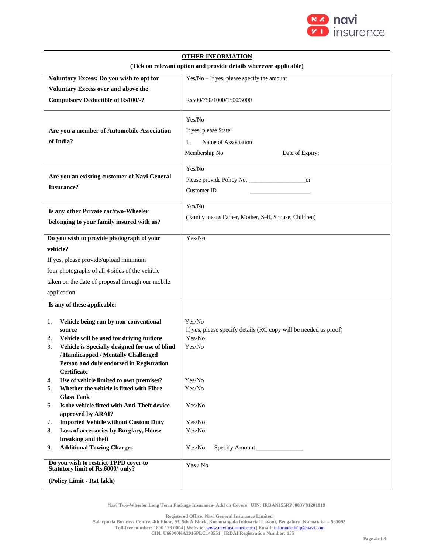

| <b>OTHER INFORMATION</b>                                                                                                                                                                                                                                           |                                                                                                |  |  |  |  |  |
|--------------------------------------------------------------------------------------------------------------------------------------------------------------------------------------------------------------------------------------------------------------------|------------------------------------------------------------------------------------------------|--|--|--|--|--|
| (Tick on relevant option and provide details wherever applicable)                                                                                                                                                                                                  |                                                                                                |  |  |  |  |  |
| Voluntary Excess: Do you wish to opt for                                                                                                                                                                                                                           | $Yes/No - If yes, please specify the amount$                                                   |  |  |  |  |  |
| Voluntary Excess over and above the                                                                                                                                                                                                                                |                                                                                                |  |  |  |  |  |
| <b>Compulsory Deductible of Rs100/-?</b>                                                                                                                                                                                                                           | Rs500/750/1000/1500/3000                                                                       |  |  |  |  |  |
| Are you a member of Automobile Association<br>of India?                                                                                                                                                                                                            | Yes/No<br>If yes, please State:<br>Name of Association<br>1.                                   |  |  |  |  |  |
|                                                                                                                                                                                                                                                                    | Membership No:<br>Date of Expiry:                                                              |  |  |  |  |  |
| Are you an existing customer of Navi General<br><b>Insurance?</b>                                                                                                                                                                                                  | Yes/No<br>Customer ID                                                                          |  |  |  |  |  |
| Is any other Private car/two-Wheeler                                                                                                                                                                                                                               | Yes/No                                                                                         |  |  |  |  |  |
| belonging to your family insured with us?                                                                                                                                                                                                                          | (Family means Father, Mother, Self, Spouse, Children)                                          |  |  |  |  |  |
| Do you wish to provide photograph of your                                                                                                                                                                                                                          | Yes/No                                                                                         |  |  |  |  |  |
| vehicle?                                                                                                                                                                                                                                                           |                                                                                                |  |  |  |  |  |
| If yes, please provide/upload minimum                                                                                                                                                                                                                              |                                                                                                |  |  |  |  |  |
| four photographs of all 4 sides of the vehicle                                                                                                                                                                                                                     |                                                                                                |  |  |  |  |  |
| taken on the date of proposal through our mobile                                                                                                                                                                                                                   |                                                                                                |  |  |  |  |  |
| application.                                                                                                                                                                                                                                                       |                                                                                                |  |  |  |  |  |
| Is any of these applicable:                                                                                                                                                                                                                                        |                                                                                                |  |  |  |  |  |
| Vehicle being run by non-conventional<br>1.<br>source<br>Vehicle will be used for driving tuitions<br>2.<br>Vehicle is Specially designed for use of blind<br>3.<br>/ Handicapped / Mentally Challenged<br>Person and duly endorsed in Registration<br>Certificate | Yes/No<br>If yes, please specify details (RC copy will be needed as proof)<br>Yes/No<br>Yes/No |  |  |  |  |  |
| Use of vehicle limited to own premises?<br>4.<br>Whether the vehicle is fitted with Fibre<br>5.                                                                                                                                                                    | Yes/No<br>Yes/No                                                                               |  |  |  |  |  |
| <b>Glass Tank</b>                                                                                                                                                                                                                                                  |                                                                                                |  |  |  |  |  |
| Is the vehicle fitted with Anti-Theft device<br>6.<br>approved by ARAI?                                                                                                                                                                                            | Yes/No                                                                                         |  |  |  |  |  |
| <b>Imported Vehicle without Custom Duty</b><br>7.                                                                                                                                                                                                                  | Yes/No                                                                                         |  |  |  |  |  |
| Loss of accessories by Burglary, House<br>8.<br>breaking and theft                                                                                                                                                                                                 | Yes/No                                                                                         |  |  |  |  |  |
| <b>Additional Towing Charges</b><br>9.                                                                                                                                                                                                                             | Yes/No<br>Specify Amount                                                                       |  |  |  |  |  |
| Do you wish to restrict TPPD cover to<br><b>Statutory limit of Rs.6000/-only?</b>                                                                                                                                                                                  | Yes / No                                                                                       |  |  |  |  |  |
| (Policy Limit - Rs1 lakh)                                                                                                                                                                                                                                          |                                                                                                |  |  |  |  |  |

**Navi Two-Wheeler Long Term Package Insurance- Add on Covers | UIN: IRDAN155RP0003V01201819**

**Registered Office: Navi General Insurance Limited Salarpuria Business Centre, 4th Floor, 93, 5th A Block, Koramangala Industrial Layout, Bengaluru, Karnataka – 560095 Toll-free number: 1800 123 0004 | Website:** [www.naviinsurance.com](http://www.naviinsurance.com/) **| Email:** [insurance.help@navi.com](mailto:insurance.help@navi.com) **CIN: U66000KA2016PLC148551 | IRDAI Registration Number: 155**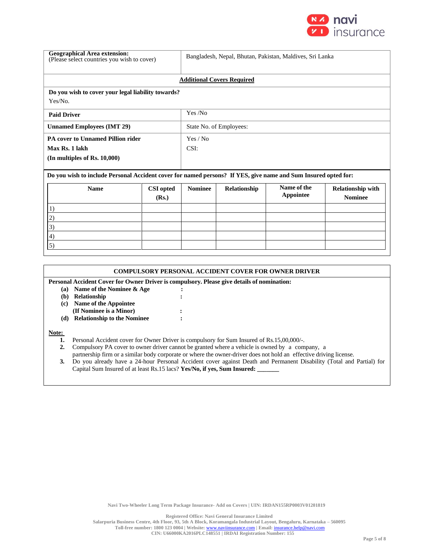

| <b>Geographical Area extension:</b><br>Bangladesh, Nepal, Bhutan, Pakistan, Maldives, Sri Lanka<br>(Please select countries you wish to cover) |                           |                |              |                          |                                            |  |  |
|------------------------------------------------------------------------------------------------------------------------------------------------|---------------------------|----------------|--------------|--------------------------|--------------------------------------------|--|--|
| <b>Additional Covers Required</b>                                                                                                              |                           |                |              |                          |                                            |  |  |
| Do you wish to cover your legal liability towards?                                                                                             |                           |                |              |                          |                                            |  |  |
| Yes/No.                                                                                                                                        |                           |                |              |                          |                                            |  |  |
| <b>Paid Driver</b>                                                                                                                             | Yes /No                   |                |              |                          |                                            |  |  |
| <b>Unnamed Employees (IMT 29)</b>                                                                                                              | State No. of Employees:   |                |              |                          |                                            |  |  |
| <b>PA cover to Unnamed Pillion rider</b>                                                                                                       | Yes / No                  |                |              |                          |                                            |  |  |
| Max Rs. 1 lakh                                                                                                                                 |                           | CSI:           |              |                          |                                            |  |  |
| $(In$ multiples of Rs. $10,000)$                                                                                                               |                           |                |              |                          |                                            |  |  |
| Do you wish to include Personal Accident cover for named persons? If YES, give name and Sum Insured opted for:                                 |                           |                |              |                          |                                            |  |  |
| <b>Name</b>                                                                                                                                    | <b>CSI</b> opted<br>(Rs.) | <b>Nominee</b> | Relationship | Name of the<br>Appointee | <b>Relationship with</b><br><b>Nominee</b> |  |  |
| 1)                                                                                                                                             |                           |                |              |                          |                                            |  |  |
| 2)                                                                                                                                             |                           |                |              |                          |                                            |  |  |
| 3)                                                                                                                                             |                           |                |              |                          |                                            |  |  |
| 4)                                                                                                                                             |                           |                |              |                          |                                            |  |  |
| 5)                                                                                                                                             |                           |                |              |                          |                                            |  |  |

|       | <b>COMPULSORY PERSONAL ACCIDENT COVER FOR OWNER DRIVER</b>                                     |  |  |  |  |  |  |  |
|-------|------------------------------------------------------------------------------------------------|--|--|--|--|--|--|--|
|       | Personal Accident Cover for Owner Driver is compulsory. Please give details of nomination:     |  |  |  |  |  |  |  |
| (a)   | Name of the Nominee & Age                                                                      |  |  |  |  |  |  |  |
| (b)   | Relationship                                                                                   |  |  |  |  |  |  |  |
| (c)   | Name of the Appointee                                                                          |  |  |  |  |  |  |  |
|       | (If Nominee is a Minor)                                                                        |  |  |  |  |  |  |  |
| (d)   | <b>Relationship to the Nominee</b>                                                             |  |  |  |  |  |  |  |
| Note: |                                                                                                |  |  |  |  |  |  |  |
|       | Personal Accident cover for Owner Driver is compulsory for Sum Insured of Rs.15,00,000/-.      |  |  |  |  |  |  |  |
|       | Compulsory PA cover to owner driver cannot be granted where a vehicle is owned by a company, a |  |  |  |  |  |  |  |

partnership firm or a similar body corporate or where the owner-driver does not hold an effective driving license. **3.** Do you already have a 24-hour Personal Accident cover against Death and Permanent Disability (Total and Partial) for

Capital Sum Insured of at least Rs.15 lacs? **Yes/No, if yes, Sum Insured: \_\_\_\_\_\_\_**

**Navi Two-Wheeler Long Term Package Insurance- Add on Covers | UIN: IRDAN155RP0003V01201819**

**Registered Office: Navi General Insurance Limited**

**Salarpuria Business Centre, 4th Floor, 93, 5th A Block, Koramangala Industrial Layout, Bengaluru, Karnataka – 560095 Toll-free number: 1800 123 0004 | Website:** [www.naviinsurance.com](http://www.naviinsurance.com/) **| Email:** [insurance.help@navi.com](mailto:insurance.help@navi.com)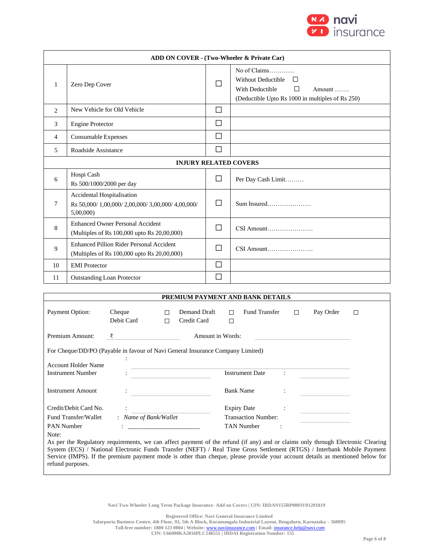

| ADD ON COVER - (Two-Wheeler & Private Car) |                                                                                                                                                           |        |                                                                                                                                             |  |  |  |  |
|--------------------------------------------|-----------------------------------------------------------------------------------------------------------------------------------------------------------|--------|---------------------------------------------------------------------------------------------------------------------------------------------|--|--|--|--|
| 1                                          | Zero Dep Cover                                                                                                                                            |        | No of Claims<br>Without Deductible<br>$\Box$<br>П<br>With Deductible<br>Amount $\ldots$<br>(Deductible Upto Rs 1000 in multiples of Rs 250) |  |  |  |  |
| $\overline{2}$                             | New Vehicle for Old Vehicle                                                                                                                               | $\Box$ |                                                                                                                                             |  |  |  |  |
| 3                                          | <b>Engine Protector</b>                                                                                                                                   | П      |                                                                                                                                             |  |  |  |  |
| 4                                          | Consumable Expenses                                                                                                                                       | □      |                                                                                                                                             |  |  |  |  |
| 5                                          | Roadside Assistance                                                                                                                                       | □      |                                                                                                                                             |  |  |  |  |
| <b>INJURY RELATED COVERS</b>               |                                                                                                                                                           |        |                                                                                                                                             |  |  |  |  |
| 6                                          | Hospi Cash<br>Rs 500/1000/2000 per day                                                                                                                    | $\Box$ | Per Day Cash Limit                                                                                                                          |  |  |  |  |
| 7                                          | Accidental Hospitalisation<br>Rs 50,000/1,00,000/2,00,000/3,00,000/4,00,000/<br>5,00,000                                                                  | $\Box$ |                                                                                                                                             |  |  |  |  |
| 8                                          | <b>Enhanced Owner Personal Accident</b><br>(Multiples of Rs 100,000 upto Rs 20,00,000)                                                                    | П      | CSI Amount                                                                                                                                  |  |  |  |  |
| 9                                          | <b>Enhanced Pillion Rider Personal Accident</b><br>(Multiples of Rs 100,000 upto Rs 20,00,000)                                                            | П      | $CSI$ Amount                                                                                                                                |  |  |  |  |
| 10                                         | <b>EMI</b> Protector                                                                                                                                      | П      |                                                                                                                                             |  |  |  |  |
| 11                                         | <b>Outstanding Loan Protector</b>                                                                                                                         | П      |                                                                                                                                             |  |  |  |  |
|                                            |                                                                                                                                                           |        |                                                                                                                                             |  |  |  |  |
|                                            |                                                                                                                                                           |        | PREMIUM PAYMENT AND BANK DETAILS                                                                                                            |  |  |  |  |
|                                            | $Dsymant$ Option<br>$\Box$ Demand Draft $\Box$ Fund Transfer $\Box$<br>Cha<br>$\mathbf{D}_{\alpha\nu}$ $\mathbf{O}_{\mathbf{r}}$ der $\qquad \qquad \Box$ |        |                                                                                                                                             |  |  |  |  |

| Payment Option:                                                                                                                                                                                                                                                                                                                                                                                     | Cheque<br>Debit Card  | П<br>П | Demand Draft<br>Credit Card | П<br>□ | Fund Transfer               | П | Pay Order | П |
|-----------------------------------------------------------------------------------------------------------------------------------------------------------------------------------------------------------------------------------------------------------------------------------------------------------------------------------------------------------------------------------------------------|-----------------------|--------|-----------------------------|--------|-----------------------------|---|-----------|---|
| Premium Amount:                                                                                                                                                                                                                                                                                                                                                                                     | ₹                     |        | Amount in Words:            |        |                             |   |           |   |
| For Cheque/DD/PO (Payable in favour of Navi General Insurance Company Limited)                                                                                                                                                                                                                                                                                                                      |                       |        |                             |        |                             |   |           |   |
| <b>Account Holder Name</b><br><b>Instrument Number</b>                                                                                                                                                                                                                                                                                                                                              |                       |        |                             |        | <b>Instrument Date</b><br>÷ |   |           |   |
| <b>Instrument Amount</b>                                                                                                                                                                                                                                                                                                                                                                            |                       |        |                             |        | <b>Bank Name</b>            |   |           |   |
| Credit/Debit Card No.                                                                                                                                                                                                                                                                                                                                                                               |                       |        |                             |        | <b>Expiry Date</b>          |   |           |   |
| Fund Transfer/Wallet                                                                                                                                                                                                                                                                                                                                                                                | : Name of Bank/Wallet |        |                             |        | <b>Transaction Number:</b>  |   |           |   |
| <b>PAN Number</b>                                                                                                                                                                                                                                                                                                                                                                                   |                       |        |                             |        | <b>TAN Number</b>           |   |           |   |
| Note:<br>As per the Regulatory requirements, we can affect payment of the refund (if any) and or claims only through Electronic Clearing<br>System (ECS) / National Electronic Funds Transfer (NEFT) / Real Time Gross Settlement (RTGS) / Interbank Mobile Payment<br>Service (IMPS). If the premium payment mode is other than cheque, please provide your account details as mentioned below for |                       |        |                             |        |                             |   |           |   |

**Navi Two-Wheeler Long Term Package Insurance- Add on Covers | UIN: IRDAN155RP0003V01201819**

refund purposes.

**Registered Office: Navi General Insurance Limited**

**Salarpuria Business Centre, 4th Floor, 93, 5th A Block, Koramangala Industrial Layout, Bengaluru, Karnataka – 560095**

**Toll-free number: 1800 123 0004 | Website:** [www.naviinsurance.com](http://www.naviinsurance.com/) **| Email:** [insurance.help@navi.com](mailto:insurance.help@navi.com)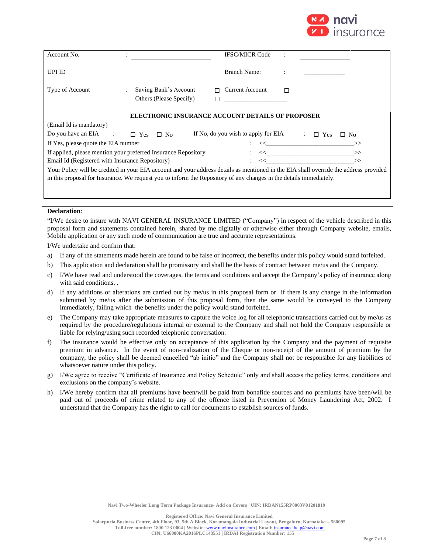

| Account No.                                                                                                                                                                                                                                                                                                                                                                                                    |                                                  | <b>IFSC/MICR Code</b>                                                       |   |                                                                                                                                       |  |  |  |  |
|----------------------------------------------------------------------------------------------------------------------------------------------------------------------------------------------------------------------------------------------------------------------------------------------------------------------------------------------------------------------------------------------------------------|--------------------------------------------------|-----------------------------------------------------------------------------|---|---------------------------------------------------------------------------------------------------------------------------------------|--|--|--|--|
| <b>UPI ID</b>                                                                                                                                                                                                                                                                                                                                                                                                  |                                                  | Branch Name:                                                                |   |                                                                                                                                       |  |  |  |  |
| Type of Account                                                                                                                                                                                                                                                                                                                                                                                                | Saving Bank's Account<br>Others (Please Specify) | <b>Current Account</b><br>П<br><u> The Common State Common State Common</u> | П |                                                                                                                                       |  |  |  |  |
| <b>ELECTRONIC INSURANCE ACCOUNT DETAILS OF PROPOSER</b>                                                                                                                                                                                                                                                                                                                                                        |                                                  |                                                                             |   |                                                                                                                                       |  |  |  |  |
| (Email Id is mandatory)                                                                                                                                                                                                                                                                                                                                                                                        |                                                  |                                                                             |   |                                                                                                                                       |  |  |  |  |
| Do you have an $EIA$ :                                                                                                                                                                                                                                                                                                                                                                                         | $\Box$ Yes $\Box$ No                             | If No, do you wish to apply for EIA                                         |   | $\mathbb{Z}^{\mathbb{Z}}$<br>$\Box$ Yes<br>$\Box$ No                                                                                  |  |  |  |  |
| If Yes, please quote the EIA number<br>$\begin{CD} \begin{picture}(10,10) \put(0,0){\dashbox{0.5}(10,0){ }} \put(15,0){\dashbox{0.5}(10,0){ }} \put(15,0){\dashbox{0.5}(10,0){ }} \put(15,0){\dashbox{0.5}(10,0){ }} \put(15,0){\dashbox{0.5}(10,0){ }} \put(15,0){\dashbox{0.5}(10,0){ }} \put(15,0){\dashbox{0.5}(10,0){ }} \put(15,0){\dashbox{0.5}(10,0){ }} \put(15,0){\dashbox{0.5}(10,0){ }} \put(15,0$ |                                                  |                                                                             |   |                                                                                                                                       |  |  |  |  |
| If applied, please mention your preferred Insurance Repository                                                                                                                                                                                                                                                                                                                                                 |                                                  |                                                                             |   |                                                                                                                                       |  |  |  |  |
| Email Id (Registered with Insurance Repository)<br>$\left\langle \left\langle \begin{array}{cc} 0 & 0 \\ 0 & 0 \end{array} \right\rangle \right\rangle$                                                                                                                                                                                                                                                        |                                                  |                                                                             |   |                                                                                                                                       |  |  |  |  |
| in this proposal for Insurance. We request you to inform the Repository of any changes in the details immediately.                                                                                                                                                                                                                                                                                             |                                                  |                                                                             |   | Your Policy will be credited in your EIA account and your address details as mentioned in the EIA shall override the address provided |  |  |  |  |

#### **Declaration**:

"I/We desire to insure with NAVI GENERAL INSURANCE LIMITED ("Company") in respect of the vehicle described in this proposal form and statements contained herein, shared by me digitally or otherwise either through Company website, emails, Mobile application or any such mode of communication are true and accurate representations.

I/We undertake and confirm that:

- a) If any of the statements made herein are found to be false or incorrect, the benefits under this policy would stand forfeited.
- b) This application and declaration shall be promissory and shall be the basis of contract between me/us and the Company.
- c) I/We have read and understood the coverages, the terms and conditions and accept the Company's policy of insurance along with said conditions. .
- d) If any additions or alterations are carried out by me/us in this proposal form or if there is any change in the information submitted by me/us after the submission of this proposal form, then the same would be conveyed to the Company immediately, failing which the benefits under the policy would stand forfeited.
- e) The Company may take appropriate measures to capture the voice log for all telephonic transactions carried out by me/us as required by the procedure/regulations internal or external to the Company and shall not hold the Company responsible or liable for relying/using such recorded telephonic conversation.
- f) The insurance would be effective only on acceptance of this application by the Company and the payment of requisite premium in advance. In the event of non-realization of the Cheque or non-receipt of the amount of premium by the company, the policy shall be deemed cancelled "ab initio" and the Company shall not be responsible for any liabilities of whatsoever nature under this policy.
- g) I/We agree to receive "Certificate of Insurance and Policy Schedule" only and shall access the policy terms, conditions and exclusions on the company's website.
- h) I/We hereby confirm that all premiums have been/will be paid from bonafide sources and no premiums have been/will be paid out of proceeds of crime related to any of the offence listed in Prevention of Money Laundering Act, 2002. I understand that the Company has the right to call for documents to establish sources of funds.

**Registered Office: Navi General Insurance Limited**

**Salarpuria Business Centre, 4th Floor, 93, 5th A Block, Koramangala Industrial Layout, Bengaluru, Karnataka – 560095 Toll-free number: 1800 123 0004 | Website:** [www.naviinsurance.com](http://www.naviinsurance.com/) **| Email:** [insurance.help@navi.com](mailto:insurance.help@navi.com)